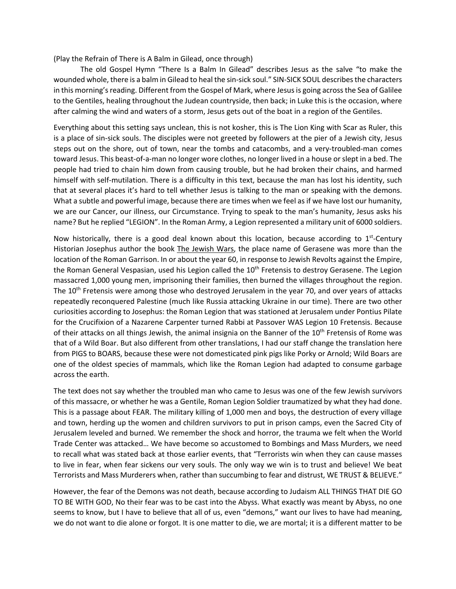(Play the Refrain of There is A Balm in Gilead, once through)

The old Gospel Hymn "There Is a Balm In Gilead" describes Jesus as the salve "to make the wounded whole, there is a balm in Gilead to heal the sin-sick soul." SIN-SICK SOUL describes the characters in this morning's reading. Different from the Gospel of Mark, where Jesus is going across the Sea of Galilee to the Gentiles, healing throughout the Judean countryside, then back; in Luke this is the occasion, where after calming the wind and waters of a storm, Jesus gets out of the boat in a region of the Gentiles.

Everything about this setting says unclean, this is not kosher, this is The Lion King with Scar as Ruler, this is a place of sin-sick souls. The disciples were not greeted by followers at the pier of a Jewish city, Jesus steps out on the shore, out of town, near the tombs and catacombs, and a very-troubled-man comes toward Jesus. This beast-of-a-man no longer wore clothes, no longer lived in a house or slept in a bed. The people had tried to chain him down from causing trouble, but he had broken their chains, and harmed himself with self-mutilation. There is a difficulty in this text, because the man has lost his identity, such that at several places it's hard to tell whether Jesus is talking to the man or speaking with the demons. What a subtle and powerful image, because there are times when we feel as if we have lost our humanity, we are our Cancer, our illness, our Circumstance. Trying to speak to the man's humanity, Jesus asks his name? But he replied "LEGION". In the Roman Army, a Legion represented a military unit of 6000 soldiers.

Now historically, there is a good deal known about this location, because according to  $1<sup>st</sup>$ -Century Historian Josephus author the book The Jewish Wars, the place name of Gerasene was more than the location of the Roman Garrison. In or about the year 60, in response to Jewish Revolts against the Empire, the Roman General Vespasian, used his Legion called the 10<sup>th</sup> Fretensis to destroy Gerasene. The Legion massacred 1,000 young men, imprisoning their families, then burned the villages throughout the region. The 10<sup>th</sup> Fretensis were among those who destroyed Jerusalem in the year 70, and over years of attacks repeatedly reconquered Palestine (much like Russia attacking Ukraine in our time). There are two other curiosities according to Josephus: the Roman Legion that was stationed at Jerusalem under Pontius Pilate for the Crucifixion of a Nazarene Carpenter turned Rabbi at Passover WAS Legion 10 Fretensis. Because of their attacks on all things Jewish, the animal insignia on the Banner of the 10<sup>th</sup> Fretensis of Rome was that of a Wild Boar. But also different from other translations, I had our staff change the translation here from PIGS to BOARS, because these were not domesticated pink pigs like Porky or Arnold; Wild Boars are one of the oldest species of mammals, which like the Roman Legion had adapted to consume garbage across the earth.

The text does not say whether the troubled man who came to Jesus was one of the few Jewish survivors of this massacre, or whether he was a Gentile, Roman Legion Soldier traumatized by what they had done. This is a passage about FEAR. The military killing of 1,000 men and boys, the destruction of every village and town, herding up the women and children survivors to put in prison camps, even the Sacred City of Jerusalem leveled and burned. We remember the shock and horror, the trauma we felt when the World Trade Center was attacked… We have become so accustomed to Bombings and Mass Murders, we need to recall what was stated back at those earlier events, that "Terrorists win when they can cause masses to live in fear, when fear sickens our very souls. The only way we win is to trust and believe! We beat Terrorists and Mass Murderers when, rather than succumbing to fear and distrust, WE TRUST & BELIEVE."

However, the fear of the Demons was not death, because according to Judaism ALL THINGS THAT DIE GO TO BE WITH GOD, No their fear was to be cast into the Abyss. What exactly was meant by Abyss, no one seems to know, but I have to believe that all of us, even "demons," want our lives to have had meaning, we do not want to die alone or forgot. It is one matter to die, we are mortal; it is a different matter to be